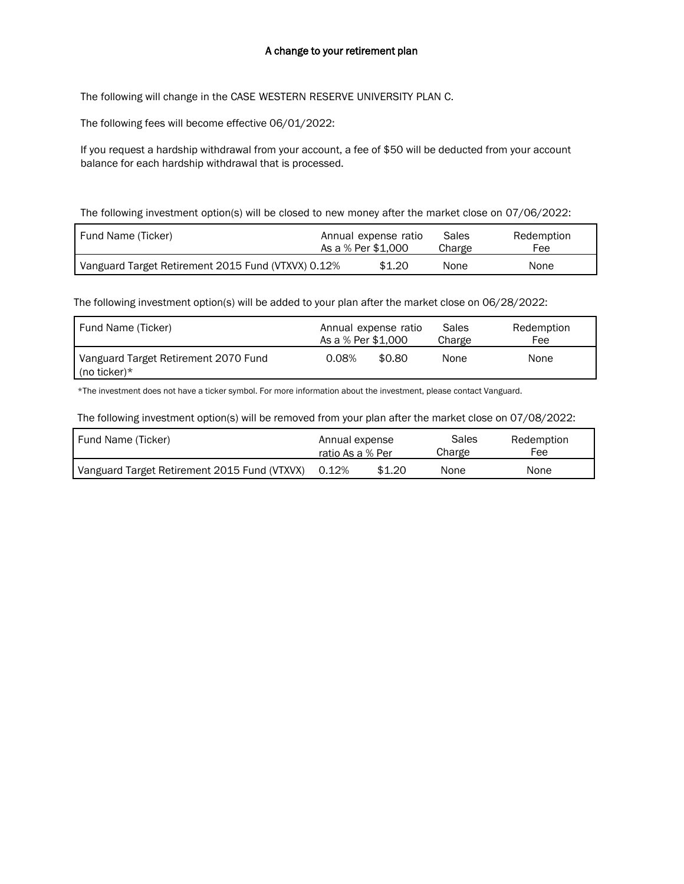## A change to your retirement plan

The following will change in the CASE WESTERN RESERVE UNIVERSITY PLAN C.

The following fees will become effective 06/01/2022:

If you request a hardship withdrawal from your account, a fee of \$50 will be deducted from your account balance for each hardship withdrawal that is processed.

The following investment option(s) will be closed to new money after the market close on 07/06/2022:

| Fund Name (Ticker)                                 | As a % Per \$1,000 | Annual expense ratio | Sales<br>Charge | Redemption<br>Fee |
|----------------------------------------------------|--------------------|----------------------|-----------------|-------------------|
| Vanguard Target Retirement 2015 Fund (VTXVX) 0.12% |                    | \$1,20               | None            | None              |

The following investment option(s) will be added to your plan after the market close on 06/28/2022:

| Fund Name (Ticker)                                          | Annual expense ratio | Sales          | Redemption |
|-------------------------------------------------------------|----------------------|----------------|------------|
|                                                             | As a % Per \$1,000   | Charge         | Fee        |
| Vanguard Target Retirement 2070 Fund<br>$\int$ (no ticker)* | 0.08%                | \$0.80<br>None | None       |

\*The investment does not have a ticker symbol. For more information about the investment, please contact Vanguard.

The following investment option(s) will be removed from your plan after the market close on 07/08/2022:

| Fund Name (Ticker)                           | Annual expense   |        | Sales  | Redemption |
|----------------------------------------------|------------------|--------|--------|------------|
|                                              | ratio As a % Per |        | Charge | Fee        |
| Vanguard Target Retirement 2015 Fund (VTXVX) | 0.12%            | \$1.20 | None   | None       |